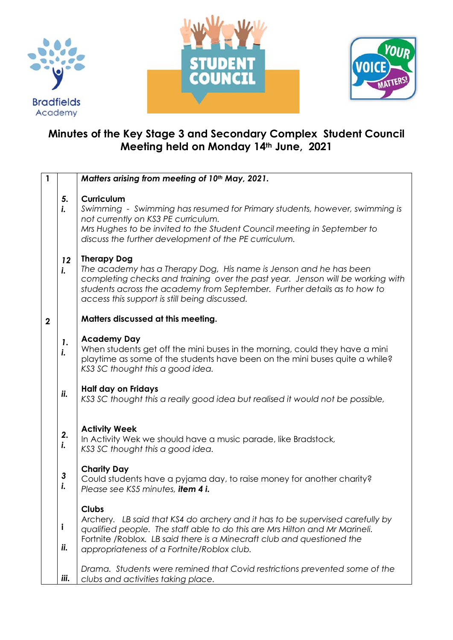





## **Minutes of the Key Stage 3 and Secondary Complex Student Council Meeting held on Monday 14th June, 2021**

| $\mathbf{1}$ |                                                                                                                                                                                                                                                                                        | Matters arising from meeting of 10th May, 2021.                                                                                                                                                                                                                                                        |  |  |  |  |
|--------------|----------------------------------------------------------------------------------------------------------------------------------------------------------------------------------------------------------------------------------------------------------------------------------------|--------------------------------------------------------------------------------------------------------------------------------------------------------------------------------------------------------------------------------------------------------------------------------------------------------|--|--|--|--|
|              | <b>Curriculum</b><br>5.<br>i.<br>Swimming - Swimming has resumed for Primary students, however, swimming is<br>not currently on KS3 PE curriculum.<br>Mrs Hughes to be invited to the Student Council meeting in September to<br>discuss the further development of the PE curriculum. |                                                                                                                                                                                                                                                                                                        |  |  |  |  |
|              | 12<br>i.                                                                                                                                                                                                                                                                               | <b>Therapy Dog</b><br>The academy has a Therapy Dog, His name is Jenson and he has been<br>completing checks and training over the past year. Jenson will be working with<br>students across the academy from September. Further details as to how to<br>access this support is still being discussed. |  |  |  |  |
| $\mathbf{2}$ |                                                                                                                                                                                                                                                                                        | Matters discussed at this meeting.                                                                                                                                                                                                                                                                     |  |  |  |  |
|              | 1.<br>i.                                                                                                                                                                                                                                                                               | <b>Academy Day</b><br>When students get off the mini buses in the morning, could they have a mini<br>playtime as some of the students have been on the mini buses quite a while?<br>KS3 SC thought this a good idea.                                                                                   |  |  |  |  |
|              | ii.                                                                                                                                                                                                                                                                                    | <b>Half day on Fridays</b><br>KS3 SC thought this a really good idea but realised it would not be possible,                                                                                                                                                                                            |  |  |  |  |
|              | 2.<br>i.                                                                                                                                                                                                                                                                               | <b>Activity Week</b><br>In Activity Wek we should have a music parade, like Bradstock,<br>KS3 SC thought this a good idea.                                                                                                                                                                             |  |  |  |  |
|              | 3<br>i.                                                                                                                                                                                                                                                                                | <b>Charity Day</b><br>Could students have a pyjama day, to raise money for another charity?<br>Please see KS5 minutes, item 4 i.                                                                                                                                                                       |  |  |  |  |
|              | i<br>ii.                                                                                                                                                                                                                                                                               | <b>Clubs</b><br>Archery. LB said that KS4 do archery and it has to be supervised carefully by<br>qualified people. The staff able to do this are Mrs Hilton and Mr Marineli.<br>Fortnite / Roblox. LB said there is a Minecraft club and questioned the<br>appropriateness of a Fortnite/Roblox club.  |  |  |  |  |
|              | iii.                                                                                                                                                                                                                                                                                   | Drama. Students were remined that Covid restrictions prevented some of the<br>clubs and activities taking place.                                                                                                                                                                                       |  |  |  |  |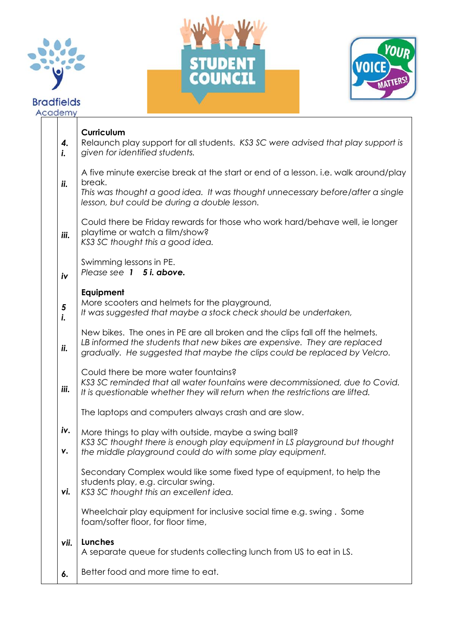





|    | Academy   |                                                                                                                                                                                                                                       |
|----|-----------|---------------------------------------------------------------------------------------------------------------------------------------------------------------------------------------------------------------------------------------|
|    | 4.<br>i.  | Curriculum<br>Relaunch play support for all students. KS3 SC were advised that play support is<br>given for identified students.                                                                                                      |
|    | ii.       | A five minute exercise break at the start or end of a lesson. i.e. walk around/play<br>break.<br>This was thought a good idea. It was thought unnecessary before/after a single<br>lesson, but could be during a double lesson.       |
|    | iii.      | Could there be Friday rewards for those who work hard/behave well, ie longer<br>playtime or watch a film/show?<br>KS3 SC thought this a good idea.                                                                                    |
| iv |           | Swimming lessons in PE.<br>Please see 1 5 <i>i. above.</i>                                                                                                                                                                            |
|    | 5<br>i.   | Equipment<br>More scooters and helmets for the playground,<br>It was suggested that maybe a stock check should be undertaken,                                                                                                         |
|    | ii.       | New bikes. The ones in PE are all broken and the clips fall off the helmets.<br>LB informed the students that new bikes are expensive. They are replaced<br>gradually. He suggested that maybe the clips could be replaced by Velcro. |
|    | iii.      | Could there be more water fountains?<br>KS3 SC reminded that all water fountains were decommissioned, due to Covid.<br>It is questionable whether they will return when the restrictions are lifted.                                  |
|    |           | The laptops and computers always crash and are slow.                                                                                                                                                                                  |
|    | iv.<br>٧. | More things to play with outside, maybe a swing ball?<br>KS3 SC thought there is enough play equipment in LS playground but thought<br>the middle playground could do with some play equipment.                                       |
|    | vi.       | Secondary Complex would like some fixed type of equipment, to help the<br>students play, e.g. circular swing.<br>KS3 SC thought this an excellent idea.                                                                               |
|    |           | Wheelchair play equipment for inclusive social time e.g. swing. Some<br>foam/softer floor, for floor time,                                                                                                                            |
|    | vii.      | Lunches<br>A separate queue for students collecting lunch from US to eat in LS.                                                                                                                                                       |
|    | 6.        | Better food and more time to eat.                                                                                                                                                                                                     |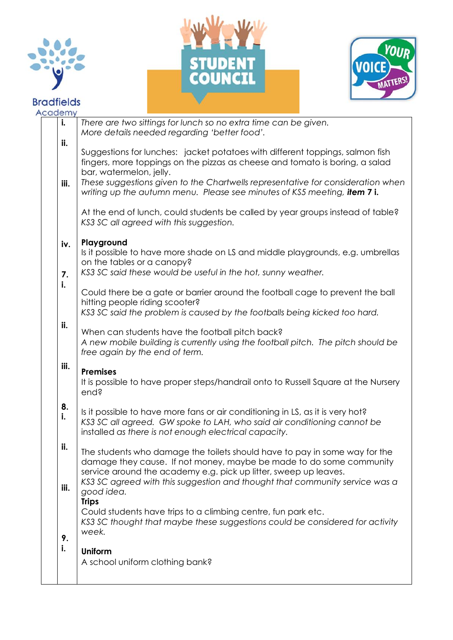

## **Bradfields**





| Academy  |                                                                                                                                                                                                                       |
|----------|-----------------------------------------------------------------------------------------------------------------------------------------------------------------------------------------------------------------------|
| i.       | There are two sittings for lunch so no extra time can be given.<br>More details needed regarding 'better food'.                                                                                                       |
| ii.      | Suggestions for lunches: jacket potatoes with different toppings, salmon fish<br>fingers, more toppings on the pizzas as cheese and tomato is boring, a salad<br>bar, watermelon, jelly.                              |
| iii.     | These suggestions given to the Chartwells representative for consideration when<br>writing up the autumn menu. Please see minutes of KS5 meeting, item 7 i.                                                           |
|          | At the end of lunch, could students be called by year groups instead of table?<br>KS3 SC all agreed with this suggestion.                                                                                             |
| iv.      | Playground<br>Is it possible to have more shade on LS and middle playgrounds, e.g. umbrellas<br>on the tables or a canopy?<br>KS3 SC said these would be useful in the hot, sunny weather.                            |
| 7.<br>i. | Could there be a gate or barrier around the football cage to prevent the ball<br>hitting people riding scooter?<br>KS3 SC said the problem is caused by the footballs being kicked too hard.                          |
| ii.      | When can students have the football pitch back?<br>A new mobile building is currently using the football pitch. The pitch should be<br>free again by the end of term.                                                 |
| iii.     | <b>Premises</b><br>It is possible to have proper steps/handrail onto to Russell Square at the Nursery<br>end?                                                                                                         |
| 8.<br>i. | Is it possible to have more fans or air conditioning in LS, as it is very hot?<br>KS3 SC all agreed. GW spoke to LAH, who said air conditioning cannot be<br>installed as there is not enough electrical capacity.    |
| ii.      | The students who damage the toilets should have to pay in some way for the<br>damage they cause. If not money, maybe be made to do some community<br>service around the academy e.g. pick up litter, sweep up leaves. |
| iii.     | KS3 SC agreed with this suggestion and thought that community service was a<br>good idea.<br><b>Trips</b><br>Could students have trips to a climbing centre, fun park etc.                                            |
| 9.<br>i. | KS3 SC thought that maybe these suggestions could be considered for activity<br>week.                                                                                                                                 |
|          | <b>Uniform</b><br>A school uniform clothing bank?                                                                                                                                                                     |